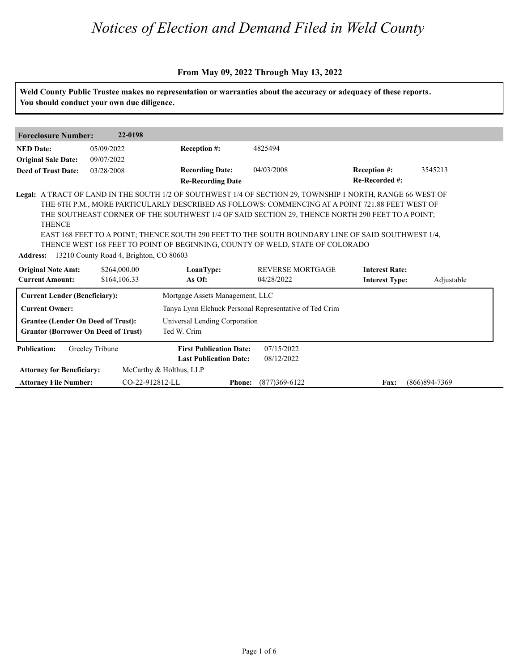### **From May 09, 2022 Through May 13, 2022**

| <b>NED</b> Date:<br><b>Original Sale Date:</b>                                          | 05/09/2022                   |                                                                 |                                                                                                                                                                                                                                                                                       |                                                |            |
|-----------------------------------------------------------------------------------------|------------------------------|-----------------------------------------------------------------|---------------------------------------------------------------------------------------------------------------------------------------------------------------------------------------------------------------------------------------------------------------------------------------|------------------------------------------------|------------|
|                                                                                         |                              | Reception #:                                                    | 4825494                                                                                                                                                                                                                                                                               |                                                |            |
|                                                                                         | 09/07/2022                   |                                                                 |                                                                                                                                                                                                                                                                                       |                                                |            |
| <b>Deed of Trust Date:</b>                                                              | 03/28/2008                   | <b>Recording Date:</b><br><b>Re-Recording Date</b>              | 04/03/2008                                                                                                                                                                                                                                                                            | Reception #:<br>Re-Recorded #:                 | 3545213    |
| <b>THENCE</b><br>Address: 13210 County Road 4, Brighton, CO 80603                       |                              |                                                                 | THE SOUTHEAST CORNER OF THE SOUTHWEST 1/4 OF SAID SECTION 29, THENCE NORTH 290 FEET TO A POINT;<br>EAST 168 FEET TO A POINT; THENCE SOUTH 290 FEET TO THE SOUTH BOUNDARY LINE OF SAID SOUTHWEST 1/4,<br>THENCE WEST 168 FEET TO POINT OF BEGINNING, COUNTY OF WELD, STATE OF COLORADO |                                                |            |
| <b>Original Note Amt:</b><br><b>Current Amount:</b>                                     | \$264,000.00<br>\$164,106.33 | LoanType:<br>As Of:                                             | REVERSE MORTGAGE<br>04/28/2022                                                                                                                                                                                                                                                        | <b>Interest Rate:</b><br><b>Interest Type:</b> | Adjustable |
| <b>Current Lender (Beneficiary):</b>                                                    |                              | Mortgage Assets Management, LLC                                 |                                                                                                                                                                                                                                                                                       |                                                |            |
| <b>Current Owner:</b>                                                                   |                              |                                                                 | Tanya Lynn Elchuck Personal Representative of Ted Crim                                                                                                                                                                                                                                |                                                |            |
| <b>Grantee (Lender On Deed of Trust):</b><br><b>Grantor (Borrower On Deed of Trust)</b> |                              | Universal Lending Corporation<br>Ted W. Crim                    |                                                                                                                                                                                                                                                                                       |                                                |            |
| Greeley Tribune<br><b>Publication:</b><br><b>Attorney for Beneficiary:</b>              |                              | <b>First Publication Date:</b><br><b>Last Publication Date:</b> | 07/15/2022<br>08/12/2022                                                                                                                                                                                                                                                              |                                                |            |
|                                                                                         | McCarthy & Holthus, LLP      |                                                                 |                                                                                                                                                                                                                                                                                       |                                                |            |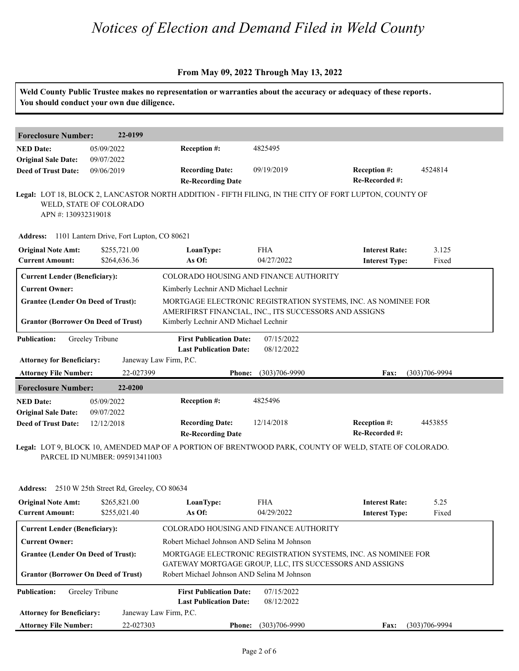### **From May 09, 2022 Through May 13, 2022**

|                                                                                                                  | You should conduct your own due diligence.         |                                                                                                                                        |                          | Weld County Public Trustee makes no representation or warranties about the accuracy or adequacy of these reports.        |                   |
|------------------------------------------------------------------------------------------------------------------|----------------------------------------------------|----------------------------------------------------------------------------------------------------------------------------------------|--------------------------|--------------------------------------------------------------------------------------------------------------------------|-------------------|
| <b>Foreclosure Number:</b>                                                                                       | 22-0199                                            |                                                                                                                                        |                          |                                                                                                                          |                   |
| <b>NED Date:</b><br><b>Original Sale Date:</b>                                                                   | 05/09/2022<br>09/07/2022                           | Reception #:                                                                                                                           | 4825495                  |                                                                                                                          |                   |
| <b>Deed of Trust Date:</b>                                                                                       | 09/06/2019                                         | <b>Recording Date:</b><br><b>Re-Recording Date</b>                                                                                     | 09/19/2019               | Reception #:<br>Re-Recorded #:                                                                                           | 4524814           |
| APN #: 130932319018                                                                                              | WELD, STATE OF COLORADO                            |                                                                                                                                        |                          | Legal: LOT 18, BLOCK 2, LANCASTOR NORTH ADDITION - FIFTH FILING, IN THE CITY OF FORT LUPTON, COUNTY OF                   |                   |
|                                                                                                                  | Address: 1101 Lantern Drive, Fort Lupton, CO 80621 |                                                                                                                                        |                          |                                                                                                                          |                   |
| <b>Original Note Amt:</b><br><b>Current Amount:</b>                                                              | \$255,721.00<br>\$264,636.36                       | LoanType:<br>As Of:                                                                                                                    | <b>FHA</b><br>04/27/2022 | <b>Interest Rate:</b><br><b>Interest Type:</b>                                                                           | 3.125<br>Fixed    |
| <b>Current Lender (Beneficiary):</b>                                                                             |                                                    | COLORADO HOUSING AND FINANCE AUTHORITY                                                                                                 |                          |                                                                                                                          |                   |
| <b>Current Owner:</b><br><b>Grantee (Lender On Deed of Trust):</b><br><b>Grantor (Borrower On Deed of Trust)</b> |                                                    | Kimberly Lechnir AND Michael Lechnir<br>AMERIFIRST FINANCIAL, INC., ITS SUCCESSORS AND ASSIGNS<br>Kimberly Lechnir AND Michael Lechnir |                          | MORTGAGE ELECTRONIC REGISTRATION SYSTEMS, INC. AS NOMINEE FOR                                                            |                   |
| <b>Publication:</b><br><b>Attorney for Beneficiary:</b>                                                          | Greeley Tribune                                    | <b>First Publication Date:</b><br><b>Last Publication Date:</b><br>Janeway Law Firm, P.C.                                              | 07/15/2022<br>08/12/2022 |                                                                                                                          |                   |
| <b>Attorney File Number:</b>                                                                                     | 22-027399                                          | <b>Phone:</b>                                                                                                                          | $(303)706 - 9990$        | Fax:                                                                                                                     | $(303)706 - 9994$ |
| <b>Foreclosure Number:</b>                                                                                       | 22-0200                                            |                                                                                                                                        |                          |                                                                                                                          |                   |
| <b>NED Date:</b><br><b>Original Sale Date:</b>                                                                   | 05/09/2022<br>09/07/2022                           | Reception #:                                                                                                                           | 4825496                  |                                                                                                                          |                   |
| <b>Deed of Trust Date:</b>                                                                                       | 12/12/2018                                         | <b>Recording Date:</b><br><b>Re-Recording Date</b>                                                                                     | 12/14/2018               | Reception #:<br>Re-Recorded #:                                                                                           | 4453855           |
|                                                                                                                  | PARCEL ID NUMBER: 095913411003                     |                                                                                                                                        |                          | Legal: LOT 9, BLOCK 10, AMENDED MAP OF A PORTION OF BRENTWOOD PARK, COUNTY OF WELD, STATE OF COLORADO.                   |                   |
|                                                                                                                  | Address: 2510 W 25th Street Rd, Greeley, CO 80634  |                                                                                                                                        |                          |                                                                                                                          |                   |
| <b>Original Note Amt:</b><br><b>Current Amount:</b>                                                              | \$265,821.00<br>\$255,021.40                       | LoanType:<br>As Of:                                                                                                                    | <b>FHA</b><br>04/29/2022 | <b>Interest Rate:</b><br><b>Interest Type:</b>                                                                           | 5.25<br>Fixed     |
| <b>Current Lender (Beneficiary):</b>                                                                             |                                                    | COLORADO HOUSING AND FINANCE AUTHORITY                                                                                                 |                          |                                                                                                                          |                   |
| <b>Current Owner:</b>                                                                                            |                                                    | Robert Michael Johnson AND Selina M Johnson                                                                                            |                          |                                                                                                                          |                   |
| <b>Grantee (Lender On Deed of Trust):</b><br><b>Grantor (Borrower On Deed of Trust)</b>                          |                                                    | Robert Michael Johnson AND Selina M Johnson                                                                                            |                          | MORTGAGE ELECTRONIC REGISTRATION SYSTEMS, INC. AS NOMINEE FOR<br>GATEWAY MORTGAGE GROUP, LLC, ITS SUCCESSORS AND ASSIGNS |                   |

| <b>Publication:</b>              | Greeley Tribune | <b>First Publication Date:</b><br><b>Last Publication Date:</b> |               | 07/15/2022<br>08/12/2022 |             |                   |
|----------------------------------|-----------------|-----------------------------------------------------------------|---------------|--------------------------|-------------|-------------------|
| <b>Attorney for Beneficiary:</b> |                 | Janeway Law Firm, P.C.                                          |               |                          |             |                   |
| <b>Attorney File Number:</b>     |                 | 22-027303                                                       | <b>Phone:</b> | $(303)706-9990$          | <b>Fax:</b> | $(303)706 - 9994$ |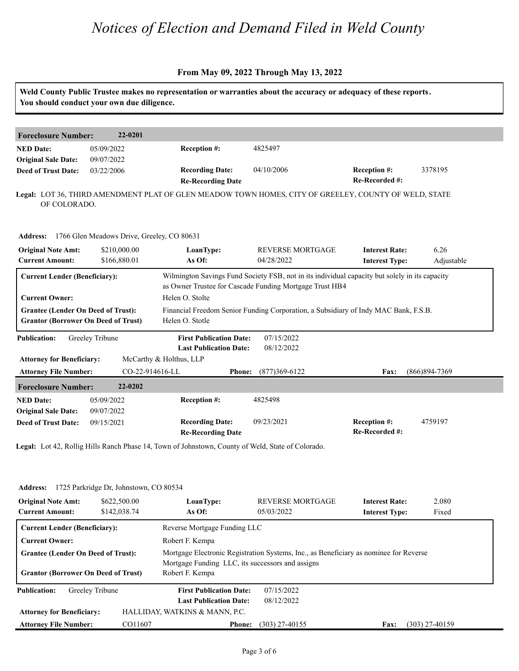#### **From May 09, 2022 Through May 13, 2022**

**Weld County Public Trustee makes no representation or warranties about the accuracy or adequacy of these reports. You should conduct your own due diligence. Foreclosure Number: 22-0201 NED Date: Re-Recorded #: Reception #:** 04/10/2006 3378195 **Re-Recording Date Recording Date: Reception #: Deed of Trust Date:**<br>**Deed of Trust Date: Legal:** LOT 36, THIRD AMENDMENT PLAT OF GLEN MEADOW TOWN HOMES, CITY OF GREELEY, COUNTY OF WELD, STATE 05/09/2022 09/07/2022 03/22/2006 4825497 OF COLORADO. **Address:** 1766 Glen Meadows Drive, Greeley, CO 80631<br> **Original Note Amt:** \$210,000.00 **LoanType:** REV<br> **Current Amount:** \$166,880.01 **As Of:** 04/2: **Interest Rate:** 6.26<br> **As Of:** 04/28/2022 **Interest Type:** Adjust **LoanType:** \$210,000.00 \$166,880.01 04/28/2022 **Interest Type:** 6.26 Adjustable **Current Lender (Beneficiary):** Wilmington Savings Fund Society FSB, not in its individual capacity but solely in its capacity as Owner Trustee for Cascade Funding Mortgage Trust HB4 **Current Owner:** Helen O. Stolte Grantee (Lender On Deed of Trust): Financial Freedom Senior Funding Corporation, a Subsidiary of Indy MAC Bank, F.S.B. Grantor (Borrower On Deed of Trust) Helen O. Stotle **Publication: Attorney for Beneficiary: Attorney File Number: Last Publication Date: Phone: Fax:** CO-22-914616-LL (877)369-6122 (866)894-7369 **First Publication Date:** McCarthy & Holthus, LLP 07/15/2022 08/12/2022 **Foreclosure Number: 22-0202 NED Date: Re-Recorded #:** 09/23/2021 **Reception #:** 4759197 **Re-Recording Date Recording Date: Reception #: Deed of Trust Date:**<br>**Deed of Trust Date:** 05/09/2022 09/07/2022 09/15/2021 4825498

**Legal:** Lot 42, Rollig Hills Ranch Phase 14, Town of Johnstown, County of Weld, State of Colorado.

| <b>Address:</b>                                                                                                                                          | 1725 Parkridge Dr. Johnstown, CO 80534 |                                                                     |                                                                                       |                                                |                  |  |  |
|----------------------------------------------------------------------------------------------------------------------------------------------------------|----------------------------------------|---------------------------------------------------------------------|---------------------------------------------------------------------------------------|------------------------------------------------|------------------|--|--|
| <b>Original Note Amt:</b><br><b>Current Amount:</b>                                                                                                      | \$622,500.00<br>\$142,038.74           | LoanType:<br>As Of:                                                 | <b>REVERSE MORTGAGE</b><br>05/03/2022                                                 | <b>Interest Rate:</b><br><b>Interest Type:</b> | 2.080<br>Fixed   |  |  |
| <b>Current Lender (Beneficiary):</b><br><b>Current Owner:</b><br><b>Grantee (Lender On Deed of Trust):</b><br><b>Grantor (Borrower On Deed of Trust)</b> |                                        | Reverse Mortgage Funding LLC                                        |                                                                                       |                                                |                  |  |  |
|                                                                                                                                                          |                                        | Robert F. Kempa                                                     |                                                                                       |                                                |                  |  |  |
|                                                                                                                                                          |                                        | Mortgage Funding LLC, its successors and assigns<br>Robert F. Kempa | Mortgage Electronic Registration Systems, Inc., as Beneficiary as nominee for Reverse |                                                |                  |  |  |
| <b>Publication:</b>                                                                                                                                      | Greeley Tribune                        | <b>First Publication Date:</b>                                      | 07/15/2022                                                                            |                                                |                  |  |  |
|                                                                                                                                                          |                                        | <b>Last Publication Date:</b>                                       | 08/12/2022                                                                            |                                                |                  |  |  |
| <b>Attorney for Beneficiary:</b>                                                                                                                         |                                        | HALLIDAY, WATKINS & MANN, P.C.                                      |                                                                                       |                                                |                  |  |  |
| <b>Attorney File Number:</b>                                                                                                                             | CO11607                                | <b>Phone:</b>                                                       | (303) 27-40155                                                                        | Fax:                                           | $(303)$ 27-40159 |  |  |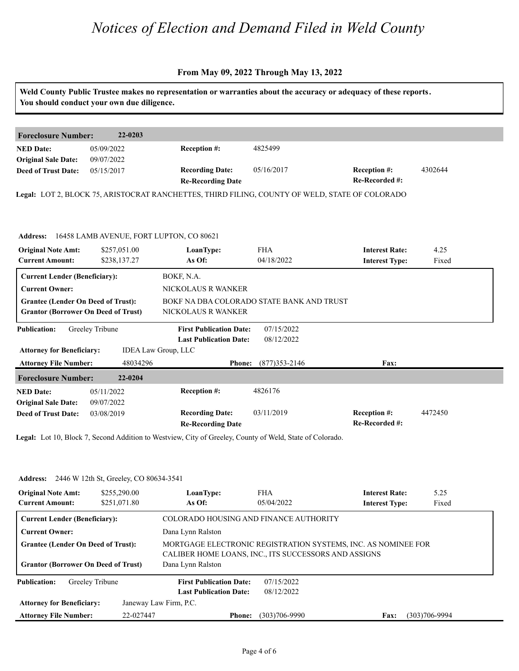#### **From May 09, 2022 Through May 13, 2022**

| Weld County Public Trustee makes no representation or warranties about the accuracy or adequacy of these reports.<br>You should conduct your own due diligence. |                                                                                 |                                                                                                                                              |                                                                                                                                                               |                                                                                                                                                           |  |
|-----------------------------------------------------------------------------------------------------------------------------------------------------------------|---------------------------------------------------------------------------------|----------------------------------------------------------------------------------------------------------------------------------------------|---------------------------------------------------------------------------------------------------------------------------------------------------------------|-----------------------------------------------------------------------------------------------------------------------------------------------------------|--|
|                                                                                                                                                                 |                                                                                 |                                                                                                                                              |                                                                                                                                                               |                                                                                                                                                           |  |
|                                                                                                                                                                 |                                                                                 |                                                                                                                                              |                                                                                                                                                               |                                                                                                                                                           |  |
|                                                                                                                                                                 |                                                                                 |                                                                                                                                              |                                                                                                                                                               |                                                                                                                                                           |  |
|                                                                                                                                                                 |                                                                                 |                                                                                                                                              |                                                                                                                                                               | 4302644                                                                                                                                                   |  |
|                                                                                                                                                                 |                                                                                 |                                                                                                                                              |                                                                                                                                                               |                                                                                                                                                           |  |
|                                                                                                                                                                 |                                                                                 |                                                                                                                                              |                                                                                                                                                               |                                                                                                                                                           |  |
|                                                                                                                                                                 |                                                                                 |                                                                                                                                              |                                                                                                                                                               |                                                                                                                                                           |  |
| \$257,051.00                                                                                                                                                    | LoanType:                                                                       | <b>FHA</b>                                                                                                                                   | <b>Interest Rate:</b>                                                                                                                                         | 4.25                                                                                                                                                      |  |
| \$238,137.27                                                                                                                                                    | As Of:                                                                          |                                                                                                                                              |                                                                                                                                                               | Fixed                                                                                                                                                     |  |
| <b>Current Lender (Beneficiary):</b>                                                                                                                            | BOKF, N.A.                                                                      |                                                                                                                                              |                                                                                                                                                               |                                                                                                                                                           |  |
|                                                                                                                                                                 | NICKOLAUS R WANKER                                                              |                                                                                                                                              |                                                                                                                                                               |                                                                                                                                                           |  |
| <b>Grantee (Lender On Deed of Trust):</b>                                                                                                                       |                                                                                 |                                                                                                                                              |                                                                                                                                                               |                                                                                                                                                           |  |
| <b>Grantor (Borrower On Deed of Trust)</b>                                                                                                                      | NICKOLAUS R WANKER                                                              |                                                                                                                                              |                                                                                                                                                               |                                                                                                                                                           |  |
| Greeley Tribune                                                                                                                                                 |                                                                                 | 07/15/2022<br>08/12/2022                                                                                                                     |                                                                                                                                                               |                                                                                                                                                           |  |
| <b>Attorney for Beneficiary:</b>                                                                                                                                |                                                                                 |                                                                                                                                              |                                                                                                                                                               |                                                                                                                                                           |  |
| <b>Attorney File Number:</b><br>48034296                                                                                                                        |                                                                                 | $(877)353 - 2146$                                                                                                                            | Fax:                                                                                                                                                          |                                                                                                                                                           |  |
| 22-0204<br><b>Foreclosure Number:</b>                                                                                                                           |                                                                                 |                                                                                                                                              |                                                                                                                                                               |                                                                                                                                                           |  |
| 05/11/2022                                                                                                                                                      | Reception #:                                                                    | 4826176                                                                                                                                      |                                                                                                                                                               |                                                                                                                                                           |  |
| 09/07/2022                                                                                                                                                      |                                                                                 |                                                                                                                                              |                                                                                                                                                               |                                                                                                                                                           |  |
| 03/08/2019                                                                                                                                                      | <b>Recording Date:</b><br><b>Re-Recording Date</b>                              | 03/11/2019                                                                                                                                   | Reception #:<br>Re-Recorded #:                                                                                                                                | 4472450                                                                                                                                                   |  |
|                                                                                                                                                                 | <b>Foreclosure Number:</b><br>22-0203<br>05/09/2022<br>09/07/2022<br>05/15/2017 | Reception #:<br><b>Recording Date:</b><br><b>Re-Recording Date</b><br>16458 LAMB AVENUE, FORT LUPTON, CO 80621<br><b>IDEA Law Group, LLC</b> | 4825499<br>05/16/2017<br>04/18/2022<br>BOKF NA DBA COLORADO STATE BANK AND TRUST<br><b>First Publication Date:</b><br><b>Last Publication Date:</b><br>Phone: | Reception #:<br>Re-Recorded #:<br>Legal: LOT 2, BLOCK 75, ARISTOCRAT RANCHETTES, THIRD FILING, COUNTY OF WELD, STATE OF COLORADO<br><b>Interest Type:</b> |  |

**Legal:** Lot 10, Block 7, Second Addition to Westview, City of Greeley, County of Weld, State of Colorado.

| <b>Address:</b> 2446 W 12th St, Greeley, CO 80634-3541                                                     |                              |                                                      |                          |                                                               |               |  |  |  |
|------------------------------------------------------------------------------------------------------------|------------------------------|------------------------------------------------------|--------------------------|---------------------------------------------------------------|---------------|--|--|--|
| <b>Original Note Amt:</b><br><b>Current Amount:</b>                                                        | \$255,290.00<br>\$251,071.80 | LoanType:<br>As Of:                                  | <b>FHA</b><br>05/04/2022 | <b>Interest Rate:</b><br><b>Interest Type:</b>                | 5.25<br>Fixed |  |  |  |
| <b>Current Lender (Beneficiary):</b><br><b>Current Owner:</b><br><b>Grantee (Lender On Deed of Trust):</b> |                              | COLORADO HOUSING AND FINANCE AUTHORITY               |                          |                                                               |               |  |  |  |
|                                                                                                            |                              | Dana Lynn Ralston                                    |                          |                                                               |               |  |  |  |
|                                                                                                            |                              | CALIBER HOME LOANS, INC., ITS SUCCESSORS AND ASSIGNS |                          | MORTGAGE ELECTRONIC REGISTRATION SYSTEMS, INC. AS NOMINEE FOR |               |  |  |  |
| <b>Grantor (Borrower On Deed of Trust)</b>                                                                 |                              | Dana Lynn Ralston                                    |                          |                                                               |               |  |  |  |
| <b>Publication:</b>                                                                                        | Greeley Tribune              | <b>First Publication Date:</b>                       | 07/15/2022               |                                                               |               |  |  |  |
|                                                                                                            |                              | <b>Last Publication Date:</b>                        | 08/12/2022               |                                                               |               |  |  |  |
| <b>Attorney for Beneficiary:</b>                                                                           |                              | Janeway Law Firm, P.C.                               |                          |                                                               |               |  |  |  |
| <b>Attorney File Number:</b>                                                                               | 22-027447                    | <b>Phone:</b>                                        | $(303)706 - 9990$        | <b>Fax:</b>                                                   | (303)706-9994 |  |  |  |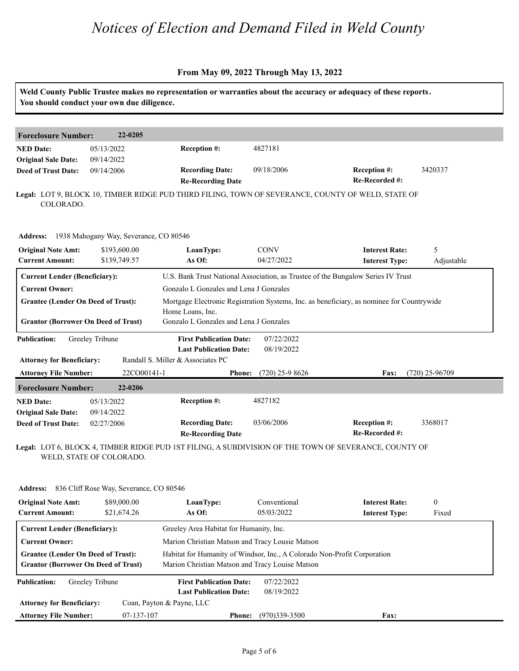#### **From May 09, 2022 Through May 13, 2022**

|                                                          | You should conduct your own due diligence.      |                                                                 |                           | Weld County Public Trustee makes no representation or warranties about the accuracy or adequacy of these reports. |
|----------------------------------------------------------|-------------------------------------------------|-----------------------------------------------------------------|---------------------------|-------------------------------------------------------------------------------------------------------------------|
| <b>Foreclosure Number:</b>                               | 22-0205                                         |                                                                 |                           |                                                                                                                   |
| <b>NED Date:</b><br><b>Original Sale Date:</b>           | 05/13/2022<br>09/14/2022                        | Reception #:                                                    | 4827181                   |                                                                                                                   |
| <b>Deed of Trust Date:</b>                               | 09/14/2006                                      | <b>Recording Date:</b><br><b>Re-Recording Date</b>              | 09/18/2006                | Reception #:<br>3420337<br>Re-Recorded #:                                                                         |
| COLORADO.                                                |                                                 |                                                                 |                           | Legal: LOT 9, BLOCK 10, TIMBER RIDGE PUD THIRD FILING, TOWN OF SEVERANCE, COUNTY OF WELD, STATE OF                |
|                                                          | Address: 1938 Mahogany Way, Severance, CO 80546 |                                                                 |                           |                                                                                                                   |
| <b>Original Note Amt:</b><br><b>Current Amount:</b>      | \$193,600.00<br>\$139,749.57                    | LoanType:<br>As Of:                                             | <b>CONV</b><br>04/27/2022 | <b>Interest Rate:</b><br>5<br><b>Interest Type:</b><br>Adjustable                                                 |
| <b>Current Lender (Beneficiary):</b>                     |                                                 |                                                                 |                           | U.S. Bank Trust National Association, as Trustee of the Bungalow Series IV Trust                                  |
| <b>Current Owner:</b>                                    |                                                 | Gonzalo L Gonzales and Lena J Gonzales                          |                           |                                                                                                                   |
| <b>Grantee (Lender On Deed of Trust):</b>                |                                                 | Home Loans, Inc.                                                |                           | Mortgage Electronic Registration Systems, Inc. as beneficiary, as nominee for Countrywide                         |
| <b>Grantor (Borrower On Deed of Trust)</b>               |                                                 | Gonzalo L Gonzales and Lena J Gonzales                          |                           |                                                                                                                   |
| <b>Publication:</b>                                      | Greeley Tribune                                 | <b>First Publication Date:</b><br><b>Last Publication Date:</b> | 07/22/2022<br>08/19/2022  |                                                                                                                   |
| <b>Attorney for Beneficiary:</b>                         |                                                 | Randall S. Miller & Associates PC                               |                           |                                                                                                                   |
| <b>Attorney File Number:</b>                             | 22CO00141-1                                     | <b>Phone:</b>                                                   | $(720)$ 25-9 8626         | $(720)$ 25-96709<br>Fax:                                                                                          |
| <b>Foreclosure Number:</b>                               | 22-0206                                         |                                                                 |                           |                                                                                                                   |
| <b>NED</b> Date:                                         | 05/13/2022                                      | Reception #:                                                    | 4827182                   |                                                                                                                   |
| <b>Original Sale Date:</b><br><b>Deed of Trust Date:</b> | 09/14/2022<br>02/27/2006                        | <b>Recording Date:</b>                                          | 03/06/2006                | Reception #:<br>3368017<br>Re-Recorded #:                                                                         |
|                                                          |                                                 | <b>Re-Recording Date</b>                                        |                           | Legal: LOT 6, BLOCK 4, TIMBER RIDGE PUD 1ST FILING, A SUBDIVISION OF THE TOWN OF SEVERANCE, COUNTY OF             |

WELD, STATE OF COLORADO.

| <b>Address:</b>                            | 836 Cliff Rose Way, Severance, CO 80546 |                                                                          |                   |                       |              |  |  |
|--------------------------------------------|-----------------------------------------|--------------------------------------------------------------------------|-------------------|-----------------------|--------------|--|--|
| <b>Original Note Amt:</b>                  | \$89,000.00                             | LoanType:                                                                | Conventional      | <b>Interest Rate:</b> | $\mathbf{0}$ |  |  |
| <b>Current Amount:</b>                     | \$21,674.26                             | As Of:                                                                   | 05/03/2022        | <b>Interest Type:</b> | Fixed        |  |  |
| <b>Current Lender (Beneficiary):</b>       |                                         | Greeley Area Habitat for Humanity, Inc.                                  |                   |                       |              |  |  |
| <b>Current Owner:</b>                      |                                         | Marion Christian Matson and Tracy Lousie Matson                          |                   |                       |              |  |  |
| <b>Grantee (Lender On Deed of Trust):</b>  |                                         | Habitat for Humanity of Windsor, Inc., A Colorado Non-Profit Corporation |                   |                       |              |  |  |
| <b>Grantor (Borrower On Deed of Trust)</b> |                                         | Marion Christian Matson and Tracy Louise Matson                          |                   |                       |              |  |  |
| <b>Publication:</b>                        | Greeley Tribune                         | <b>First Publication Date:</b>                                           | 07/22/2022        |                       |              |  |  |
|                                            |                                         | <b>Last Publication Date:</b>                                            | 08/19/2022        |                       |              |  |  |
| <b>Attorney for Beneficiary:</b>           |                                         | Coan, Payton & Payne, LLC                                                |                   |                       |              |  |  |
| <b>Attorney File Number:</b>               | 07-137-107                              | <b>Phone:</b>                                                            | $(970)339 - 3500$ | Fax:                  |              |  |  |